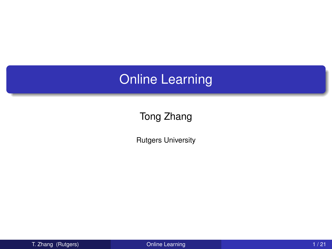### Online Learning

#### Tong Zhang

<span id="page-0-0"></span>Rutgers University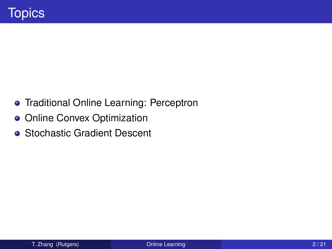- **•** Traditional Online Learning: Perceptron
- **Online Convex Optimization**
- **Stochastic Gradient Descent**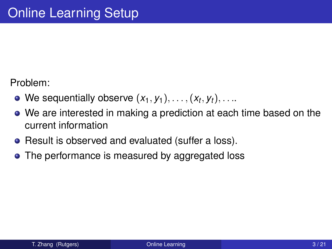Problem:

- We sequentially observe  $(x_1, y_1), \ldots, (x_t, y_t), \ldots$
- We are interested in making a prediction at each time based on the current information
- Result is observed and evaluated (suffer a loss).
- The performance is measured by aggregated loss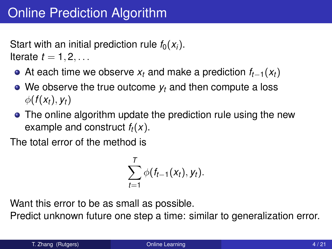Start with an initial prediction rule  $f_0(x_i)$ . Iterate  $t = 1, 2, \ldots$ 

- At each time we observe *x<sup>t</sup>* and make a prediction *ft*−1(*xt*)
- We observe the true outcome  $y_t$  and then compute a loss  $\phi(f(x_t), y_t)$
- The online algorithm update the prediction rule using the new example and construct *ft*(*x*).

The total error of the method is

$$
\sum_{t=1}^T \phi(f_{t-1}(x_t), y_t).
$$

Want this error to be as small as possible.

Predict unknown future one step a time: similar to generalization error.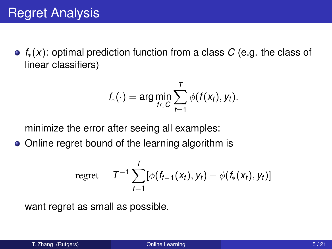*f*∗(*x*): optimal prediction function from a class *C* (e.g. the class of linear classifiers)

$$
f_{*}(\cdot) = \arg\min_{f \in C} \sum_{t=1}^{T} \phi(f(x_t), y_t).
$$

minimize the error after seeing all examples:

• Online regret bound of the learning algorithm is

regret = 
$$
T^{-1} \sum_{t=1}^{T} [\phi(f_{t-1}(x_t), y_t) - \phi(f_*(x_t), y_t)]
$$

want regret as small as possible.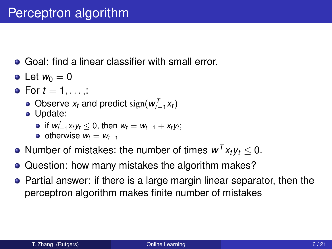- **Goal: find a linear classifier with small error.**
- Let  $w_0 = 0$
- $\bullet$  For  $t = 1, \ldots, 2$ 
	- Observe  $x_t$  and predict  $sign(w_{t-1}^T x_t)$
	- Update:
		- $\inf W_{t-1}^T x_t y_t \leq 0$ , then  $w_t = w_{t-1} + x_t y_t$ ;
		- $\bullet$  otherwise  $w_t = w_{t-1}$
- Number of mistakes: the number of times  $w^T x_t y_t \leq 0$ .
- Question: how many mistakes the algorithm makes?  $\bullet$
- Partial answer: if there is a large margin linear separator, then the perceptron algorithm makes finite number of mistakes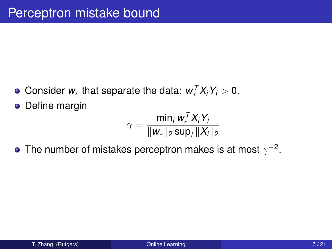- Consider  $w_*$  that separate the data:  $w_*^T X_i Y_i > 0$ .
- **•** Define margin

$$
\gamma = \frac{\min_i w_*^T X_i Y_i}{\|w_*\|_2 \sup_i \|X_i\|_2}
$$

The number of mistakes perceptron makes is at most  $\gamma^{-2}.$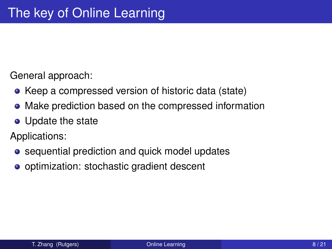General approach:

- Keep a compressed version of historic data (state)
- Make prediction based on the compressed information
- Update the state

Applications:

- **•** sequential prediction and quick model updates
- **•** optimization: stochastic gradient descent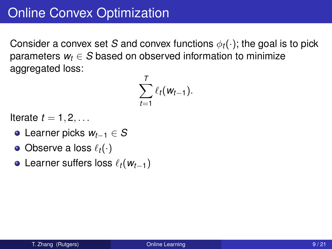Consider a convex set *S* and convex functions  $\phi_t(\cdot)$ ; the goal is to pick parameters  $w_t \in S$  based on observed information to minimize aggregated loss: *T*

$$
\sum_{t=1}^r \ell_t(w_{t-1}).
$$

Iterate  $t = 1, 2, \ldots$ 

- Learner picks *wt*−<sup>1</sup> ∈ *S*
- $\bullet$  Observe a loss  $\ell_t(\cdot)$
- Learner suffers loss `*t*(*wt*−1)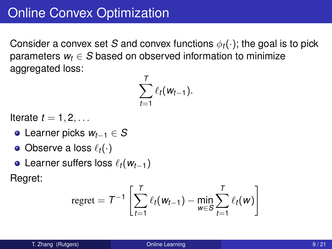Consider a convex set *S* and convex functions  $\phi_t(\cdot)$ ; the goal is to pick parameters  $w_t \in S$  based on observed information to minimize aggregated loss:

*T*

$$
\sum_{t=1}^r \ell_t(w_{t-1}).
$$

Iterate  $t = 1, 2, \ldots$ 

- Learner picks *wt*−<sup>1</sup> ∈ *S*
- $\bullet$  Observe a loss  $\ell_t(\cdot)$
- Learner suffers loss `*t*(*wt*−1)

Regret:

$$
regret = T^{-1} \left[ \sum_{t=1}^{T} \ell_t(w_{t-1}) - \min_{w \in S} \sum_{t=1}^{T} \ell_t(w) \right]
$$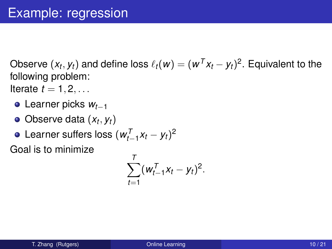Observe  $(x_t, y_t)$  and define loss  $\ell_t(w) = (w^T x_t - y_t)^2$ . Equivalent to the following problem:

Iterate  $t = 1, 2, \ldots$ 

- Learner picks *wt*−<sup>1</sup>
- Observe data (*x<sup>t</sup>* , *yt*)
- Learner suffers loss  $(w_{t-1}^T x_t y_t)^2$

Goal is to minimize

$$
\sum_{t=1}^T (w_{t-1}^T x_t - y_t)^2.
$$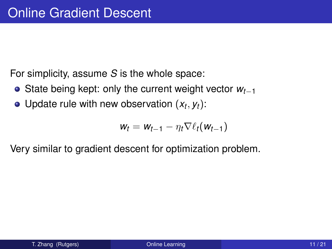For simplicity, assume *S* is the whole space:

- State being kept: only the current weight vector *wt*−<sup>1</sup>
- Update rule with new observation  $(x_t, y_t)$ :

$$
w_t = w_{t-1} - \eta_t \nabla \ell_t(w_{t-1})
$$

Very similar to gradient descent for optimization problem.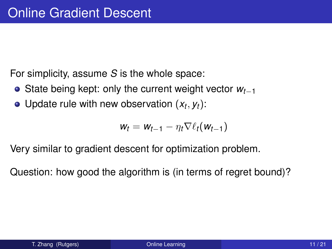For simplicity, assume *S* is the whole space:

- State being kept: only the current weight vector *wt*−<sup>1</sup>
- Update rule with new observation  $(x_t, y_t)$ :

$$
w_t = w_{t-1} - \eta_t \nabla \ell_t(w_{t-1})
$$

Very similar to gradient descent for optimization problem.

Question: how good the algorithm is (in terms of regret bound)?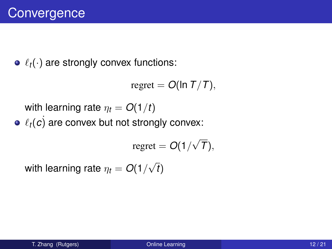$\bullet$   $\ell_t(\cdot)$  are strongly convex functions:

regret =  $O(\ln T/T)$ ,

with learning rate  $\eta_t = O(1/t)$ 

 $\ell_t(c)$  are convex but not strongly convex:

$$
regret = O(1/\sqrt{T}),
$$

with learning rate  $\eta_t = O(1/$ √ *t*)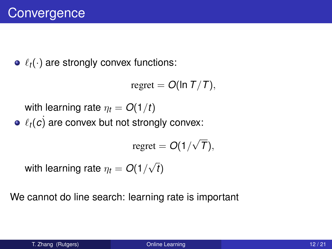$\bullet$   $\ell_t(\cdot)$  are strongly convex functions:

 $regret = O(\ln T/T),$ 

with learning rate  $\eta_t = O(1/t)$ 

 $\ell_t(c)$  are convex but not strongly convex:

$$
regret = O(1/\sqrt{T}),
$$

with learning rate  $\eta_t = O(1/$ √ *t*)

We cannot do line search: learning rate is important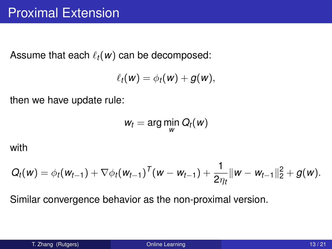Assume that each  $\ell_t(w)$  can be decomposed:

$$
\ell_t(w) = \phi_t(w) + g(w),
$$

then we have update rule:

$$
w_t = \arg\min_{w} Q_t(w)
$$

with

$$
Q_t(w) = \phi_t(w_{t-1}) + \nabla \phi_t(w_{t-1})^T (w - w_{t-1}) + \frac{1}{2\eta_t} ||w - w_{t-1}||_2^2 + g(w).
$$

Similar convergence behavior as the non-proximal version.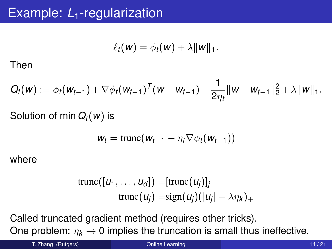$$
\ell_t(\mathbf{w}) = \phi_t(\mathbf{w}) + \lambda \|\mathbf{w}\|_1.
$$

Then

$$
Q_t(w) := \phi_t(w_{t-1}) + \nabla \phi_t(w_{t-1})^T (w - w_{t-1}) + \frac{1}{2\eta_t} ||w - w_{t-1}||_2^2 + \lambda ||w||_1.
$$

#### Solution of min *Qt*(*w*) is

$$
w_t = \text{trunc}(w_{t-1} - \eta_t \nabla \phi_t(w_{t-1}))
$$

where

trunc(
$$
[u_1, ..., u_d]
$$
) = [trunc( $u_j$ )]<sub>j</sub>  
trunc( $u_j$ ) =sign( $u_j$ )( $|u_j| - \lambda \eta_k$ )<sub>+</sub>

Called truncated gradient method (requires other tricks). One problem:  $\eta_k \to 0$  implies the truncation is small thus ineffective.

T. Zhang (Rutgers) **Chang (Rutgers) Chang Communication** Change Communication Change Change Change Change Change Change Change Change Change Change Change Change Change Change Change Change Change Change Change Change Ch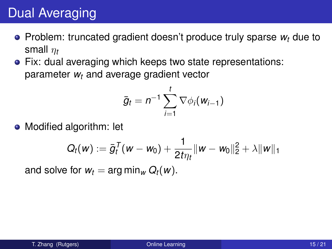## Dual Averaging

- $\bullet$  Problem: truncated gradient doesn't produce truly sparse  $w_t$  due to small η*<sup>t</sup>*
- Fix: dual averaging which keeps two state representations: parameter *w<sup>t</sup>* and average gradient vector

$$
\bar{g}_t = n^{-1} \sum_{i=1}^t \nabla \phi_i(w_{i-1})
$$

• Modified algorithm: let

$$
Q_t(w) := \bar{g}_t^T(w - w_0) + \frac{1}{2t\eta_t} \|w - w_0\|_2^2 + \lambda \|w\|_1
$$

and solve for  $w_t = \arg \min_w Q_t(w)$ .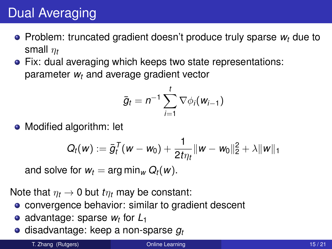# Dual Averaging

- $\bullet$  Problem: truncated gradient doesn't produce truly sparse  $w_t$  due to small η*<sup>t</sup>*
- Fix: dual averaging which keeps two state representations: parameter *w<sup>t</sup>* and average gradient vector

$$
\bar{g}_t = n^{-1} \sum_{i=1}^t \nabla \phi_i(w_{i-1})
$$

• Modified algorithm: let

$$
Q_t(w) := \bar{g}_t^T(w - w_0) + \frac{1}{2t\eta_t} \|w - w_0\|_2^2 + \lambda \|w\|_1
$$

and solve for  $w_t = \arg \min_w Q_t(w)$ .

Note that  $\eta_t \to 0$  but  $t\eta_t$  may be constant:

- **convergence behavior: similar to gradient descent**
- advantage: sparse *w<sup>t</sup>* for *L*<sup>1</sup>  $\bullet$
- **e** disadvantage: keep a non-sparse  $q_t$

T. Zhang (Rutgers) **Communication Communication Communication** Communication Communication Communication Communication Communication Communication Communication Communication Communication Communication Communication Commu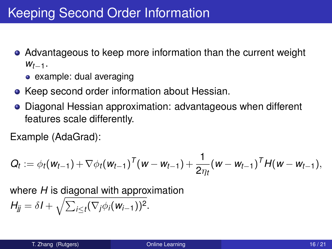- Advantageous to keep more information than the current weight *wt*−1.
	- example: dual averaging
- Keep second order information about Hessian.
- Diagonal Hessian approximation: advantageous when different features scale differently.

Example (AdaGrad):

$$
Q_t := \phi_t(w_{t-1}) + \nabla \phi_t(w_{t-1})^T (w - w_{t-1}) + \frac{1}{2\eta_t}(w - w_{t-1})^T H(w - w_{t-1}),
$$

where *H* is diagonal with approximation  $H_{jj} = \delta I + \sqrt{\sum_{i \leq t} (\nabla_j \phi_i(w_{i-1}))^2}.$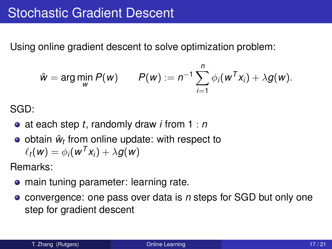Using online gradient descent to solve optimization problem:

$$
\hat{w} = \arg\min_{w} P(w) \qquad P(w) := n^{-1} \sum_{i=1}^{n} \phi_i(w^T x_i) + \lambda g(w).
$$

SGD:

- at each step *t*, randomly draw *i* from 1 : *n*
- obtain  $\hat{w}_t$  from online update: with respect to  $\ell_t(w) = \phi_i(w^T x_i) + \lambda g(w)$

Remarks:

- **•** main tuning parameter: learning rate.
- convergence: one pass over data is *n* steps for SGD but only one  $\bullet$ step for gradient descent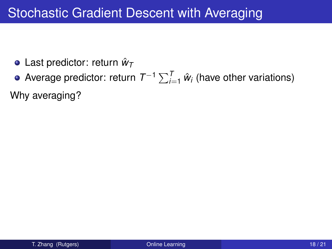- Last predictor: return *w*ˆ*<sup>T</sup>*
- Average predictor: return  $T^{-1}\sum_{i=1}^{T}\hat{w}_i$  (have other variations)

Why averaging?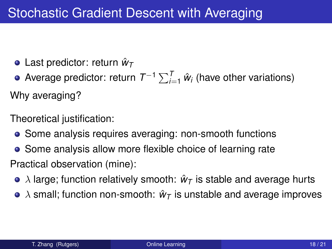Last predictor: return *w*ˆ*<sup>T</sup>*

Average predictor: return  $T^{-1}\sum_{i=1}^{T}\hat{w}_i$  (have other variations) Why averaging?

Theoretical justification:

- Some analysis requires averaging: non-smooth functions
- **•** Some analysis allow more flexible choice of learning rate Practical observation (mine):
	- $\lambda$  large; function relatively smooth:  $\hat{w}_T$  is stable and average hurts
	- $\bullet$   $\lambda$  small; function non-smooth:  $\hat{w}_T$  is unstable and average improves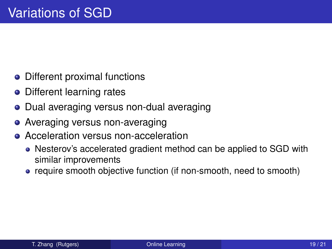- Different proximal functions
- Different learning rates
- Dual averaging versus non-dual averaging
- Averaging versus non-averaging
- **Acceleration versus non-acceleration** 
	- Nesterov's accelerated gradient method can be applied to SGD with similar improvements
	- require smooth objective function (if non-smooth, need to smooth)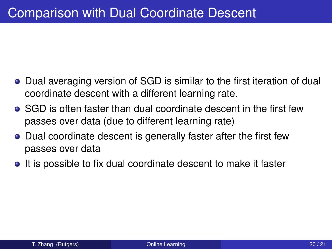- **•** Dual averaging version of SGD is similar to the first iteration of dual coordinate descent with a different learning rate.
- SGD is often faster than dual coordinate descent in the first few passes over data (due to different learning rate)
- Dual coordinate descent is generally faster after the first few passes over data
- It is possible to fix dual coordinate descent to make it faster